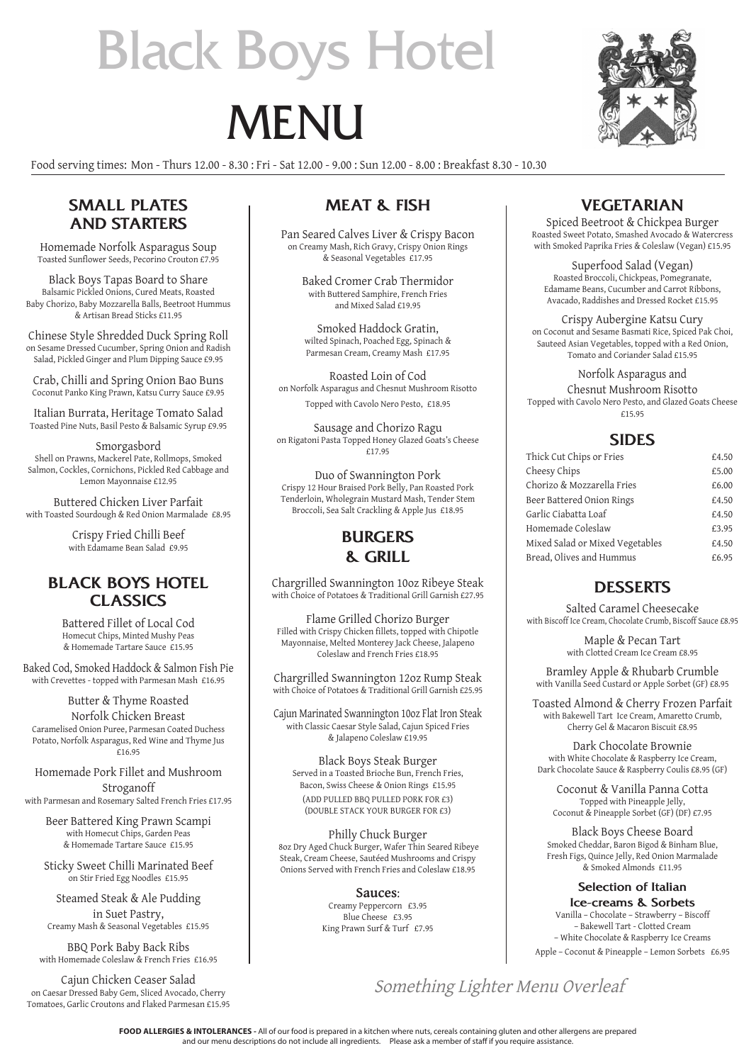# Black Boys Hotel

# **MENU**

Food serving times: Mon - Thurs 12.00 - 8.30 : Fri - Sat 12.00 - 9.00 : Sun 12.00 - 8.00 : Breakfast 8.30 - 10.30

#### **SMALL PLATES AND STARTERS**

Homemade Norfolk Asparagus Soup Toasted Sunflower Seeds, Pecorino Crouton £7.95

Black Boys Tapas Board to Share Balsamic Pickled Onions, Cured Meats, Roasted Baby Chorizo, Baby Mozzarella Balls, Beetroot Hummus & Artisan Bread Sticks £11.95

Chinese Style Shredded Duck Spring Roll on Sesame Dressed Cucumber, Spring Onion and Radish Salad, Pickled Ginger and Plum Dipping Sauce £9.95

Crab, Chilli and Spring Onion Bao Buns Coconut Panko King Prawn, Katsu Curry Sauce £9.95

Italian Burrata, Heritage Tomato Salad Toasted Pine Nuts, Basil Pesto & Balsamic Syrup £9.95

Smorgasbord Shell on Prawns, Mackerel Pate, Rollmops, Smoked Salmon, Cockles, Cornichons, Pickled Red Cabbage and Lemon Mayonnaise £12.95

Buttered Chicken Liver Parfait with Toasted Sourdough & Red Onion Marmalade £8.95

> Crispy Fried Chilli Beef with Edamame Bean Salad £9.95

#### **BLACK BOYS HOTEL CLASSICS**

Battered Fillet of Local Cod Homecut Chips, Minted Mushy Peas & Homemade Tartare Sauce £15.95

Baked Cod, Smoked Haddock & Salmon Fish Pie with Crevettes - topped with Parmesan Mash £16.95

Butter & Thyme Roasted Norfolk Chicken Breast Caramelised Onion Puree, Parmesan Coated Duchess Potato, Norfolk Asparagus, Red Wine and Thyme Jus £16.95

Homemade Pork Fillet and Mushroom Stroganoff

with Parmesan and Rosemary Salted French Fries £17.95

Beer Battered King Prawn Scampi with Homecut Chips, Garden Peas & Homemade Tartare Sauce £15.95

Sticky Sweet Chilli Marinated Beef on Stir Fried Egg Noodles £15.95

Steamed Steak & Ale Pudding in Suet Pastry, Creamy Mash & Seasonal Vegetables £15.95

BBQ Pork Baby Back Ribs with Homemade Coleslaw & French Fries £16.95

Cajun Chicken Ceaser Salad on Caesar Dressed Baby Gem, Sliced Avocado, Cherry Tomatoes, Garlic Croutons and Flaked Parmesan £15.95

## **MEAT & FISH**

Pan Seared Calves Liver & Crispy Bacon on Creamy Mash, Rich Gravy, Crispy Onion Rings & Seasonal Vegetables £17.95

Baked Cromer Crab Thermidor with Buttered Samphire, French Fries and Mixed Salad £19.95

Smoked Haddock Gratin, wilted Spinach, Poached Egg, Spinach & Parmesan Cream, Creamy Mash £17.95

Roasted Loin of Cod on Norfolk Asparagus and Chesnut Mushroom Risotto Topped with Cavolo Nero Pesto, £18.95

Sausage and Chorizo Ragu on Rigatoni Pasta Topped Honey Glazed Goats's Cheese £17.95

Duo of Swannington Pork Crispy 12 Hour Braised Pork Belly, Pan Roasted Pork Tenderloin, Wholegrain Mustard Mash, Tender Stem Broccoli, Sea Salt Crackling & Apple Jus £18.95

#### **BURGERS & GRILL**

Chargrilled Swannington 10oz Ribeye Steak with Choice of Potatoes & Traditional Grill Garnish £27.95

Flame Grilled Chorizo Burger Filled with Crispy Chicken fillets, topped with Chipotle Mayonnaise, Melted Monterey Jack Cheese, Jalapeno Coleslaw and French Fries £18.95

Chargrilled Swannington 12oz Rump Steak with Choice of Potatoes & Traditional Grill Garnish £25.95

Cajun Marinated Swannington 10oz Flat Iron Steak with Classic Caesar Style Salad, Cajun Spiced Fries & Jalapeno Coleslaw £19.95

Black Boys Steak Burger Served in a Toasted Brioche Bun, French Fries, Bacon, Swiss Cheese & Onion Rings £15.95 (ADD PULLED BBQ PULLED PORK FOR £3) (DOUBLE STACK YOUR BURGER FOR £3)

Philly Chuck Burger 8oz Dry Aged Chuck Burger, Wafer Thin Seared Ribeye Steak, Cream Cheese, Sautéed Mushrooms and Crispy Onions Served with French Fries and Coleslaw £18.95

> **Sauces**: Creamy Peppercorn £3.95 Blue Cheese £3.95 King Prawn Surf & Turf £7.95

## **VEGETARIAN**

Spiced Beetroot & Chickpea Burger Roasted Sweet Potato, Smashed Avocado & Watercress with Smoked Paprika Fries & Coleslaw (Vegan) £15.95

Superfood Salad (Vegan) Roasted Broccoli, Chickpeas, Pomegranate, Edamame Beans, Cucumber and Carrot Ribbons, Avacado, Raddishes and Dressed Rocket £15.95

Crispy Aubergine Katsu Cury on Coconut and Sesame Basmati Rice, Spiced Pak Choi, Sauteed Asian Vegetables, topped with a Red Onion, Tomato and Coriander Salad £15.95

#### Norfolk Asparagus and

Chesnut Mushroom Risotto Topped with Cavolo Nero Pesto, and Glazed Goats Cheese £15.95

#### **SIDES**

| Thick Cut Chips or Fries        | £4.50 |
|---------------------------------|-------|
| Cheesy Chips                    | £5.00 |
| Chorizo & Mozzarella Fries      | £6.00 |
| Beer Battered Onion Rings       | £4.50 |
| Garlic Ciabatta Loaf            | £4.50 |
| Homemade Coleslaw               | £3.95 |
| Mixed Salad or Mixed Vegetables | £4.50 |
| Bread, Olives and Hummus        | £6.95 |

#### **DESSERTS**

Salted Caramel Cheesecake with Biscoff Ice Cream, Chocolate Crumb, Biscoff Sauce £8.95

> Maple & Pecan Tart with Clotted Cream Ice Cream £8.95

Bramley Apple & Rhubarb Crumble with Vanilla Seed Custard or Apple Sorbet (GF) £8.95

Toasted Almond & Cherry Frozen Parfait with Bakewell Tart Ice Cream, Amaretto Crumb, Cherry Gel & Macaron Biscuit £8.95

Dark Chocolate Brownie with White Chocolate & Raspberry Ice Cream, Dark Chocolate Sauce & Raspberry Coulis £8.95 (GF)

Coconut & Vanilla Panna Cotta Topped with Pineapple Jelly, Coconut & Pineapple Sorbet (GF) (DF) £7.95

Black Boys Cheese Board Smoked Cheddar, Baron Bigod & Binham Blue, Fresh Figs, Quince Jelly, Red Onion Marmalade & Smoked Almonds £11.95

### **Selection of Italian**

**Ice-creams & Sorbets** Vanilla – Chocolate – Strawberry – Biscoff – Bakewell Tart - Clotted Cream – White Chocolate & Raspberry Ice Creams Apple – Coconut & Pineapple – Lemon Sorbets £6.95

Something Lighter Menu Overleaf